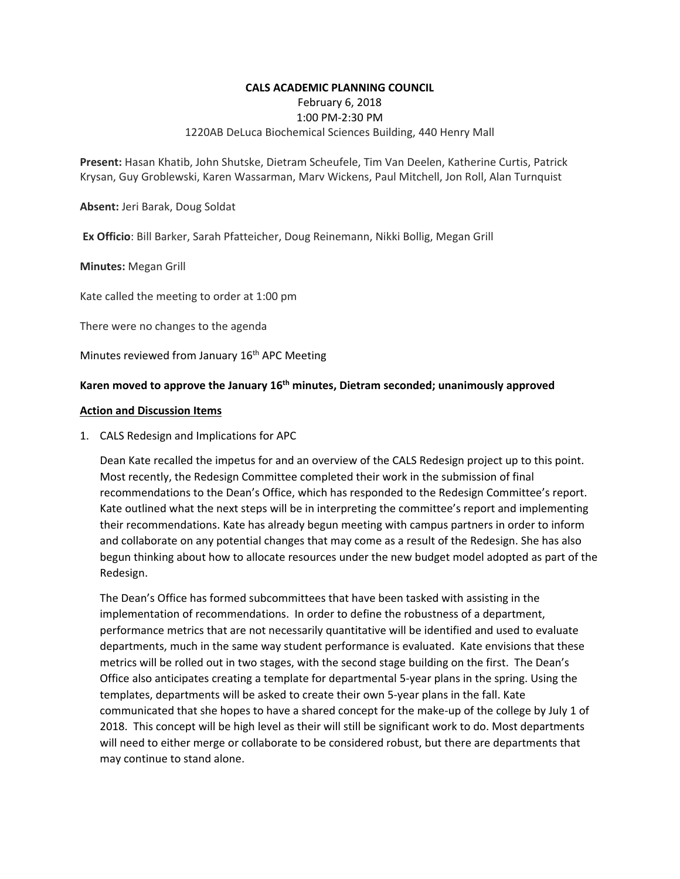### **CALS ACADEMIC PLANNING COUNCIL**

February 6, 2018

### 1:00 PM‐2:30 PM

## 1220AB DeLuca Biochemical Sciences Building, 440 Henry Mall

**Present:** Hasan Khatib, John Shutske, Dietram Scheufele, Tim Van Deelen, Katherine Curtis, Patrick Krysan, Guy Groblewski, Karen Wassarman, Marv Wickens, Paul Mitchell, Jon Roll, Alan Turnquist

**Absent:** Jeri Barak, Doug Soldat

 **Ex Officio**: Bill Barker, Sarah Pfatteicher, Doug Reinemann, Nikki Bollig, Megan Grill

**Minutes:** Megan Grill

Kate called the meeting to order at 1:00 pm

There were no changes to the agenda

Minutes reviewed from January 16<sup>th</sup> APC Meeting

# Karen moved to approve the January 16<sup>th</sup> minutes, Dietram seconded; unanimously approved

### **Action and Discussion Items**

1. CALS Redesign and Implications for APC

Dean Kate recalled the impetus for and an overview of the CALS Redesign project up to this point. Most recently, the Redesign Committee completed their work in the submission of final recommendations to the Dean's Office, which has responded to the Redesign Committee's report. Kate outlined what the next steps will be in interpreting the committee's report and implementing their recommendations. Kate has already begun meeting with campus partners in order to inform and collaborate on any potential changes that may come as a result of the Redesign. She has also begun thinking about how to allocate resources under the new budget model adopted as part of the Redesign.

The Dean's Office has formed subcommittees that have been tasked with assisting in the implementation of recommendations. In order to define the robustness of a department, performance metrics that are not necessarily quantitative will be identified and used to evaluate departments, much in the same way student performance is evaluated. Kate envisions that these metrics will be rolled out in two stages, with the second stage building on the first. The Dean's Office also anticipates creating a template for departmental 5‐year plans in the spring. Using the templates, departments will be asked to create their own 5‐year plans in the fall. Kate communicated that she hopes to have a shared concept for the make-up of the college by July 1 of 2018. This concept will be high level as their will still be significant work to do. Most departments will need to either merge or collaborate to be considered robust, but there are departments that may continue to stand alone.